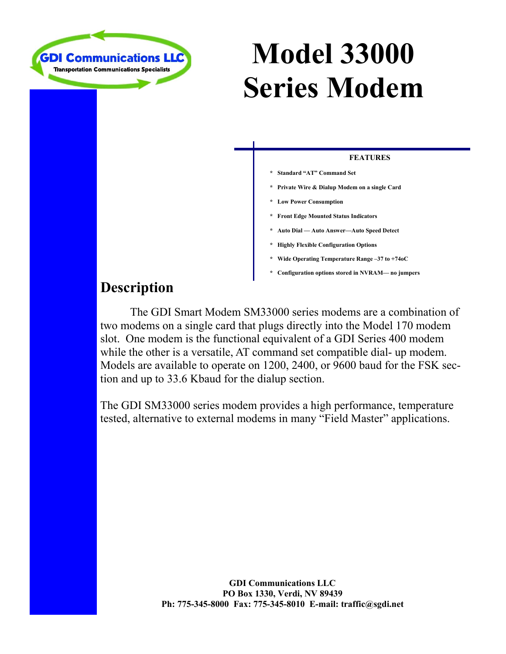

# **Model 33000 Series Modem**

#### **FEATURES**

- **\* Standard "AT" Command Set**
- **\* Private Wire & Dialup Modem on a single Card**
- **\* Low Power Consumption**
- **\* Front Edge Mounted Status Indicators**
- **\* Auto Dial Auto Answer—Auto Speed Detect**
- **\* Highly Flexible Configuration Options**
- **\* Wide Operating Temperature Range –37 to +74oC**
- **\* Configuration options stored in NVRAM— no jumpers**

## **Description**

 The GDI Smart Modem SM33000 series modems are a combination of two modems on a single card that plugs directly into the Model 170 modem slot. One modem is the functional equivalent of a GDI Series 400 modem while the other is a versatile, AT command set compatible dial- up modem. Models are available to operate on 1200, 2400, or 9600 baud for the FSK section and up to 33.6 Kbaud for the dialup section.

The GDI SM33000 series modem provides a high performance, temperature tested, alternative to external modems in many "Field Master" applications.

> **GDI Communications LLC PO Box 1330, Verdi, NV 89439 Ph: 775-345-8000 Fax: 775-345-8010 E-mail: traffic@sgdi.net**